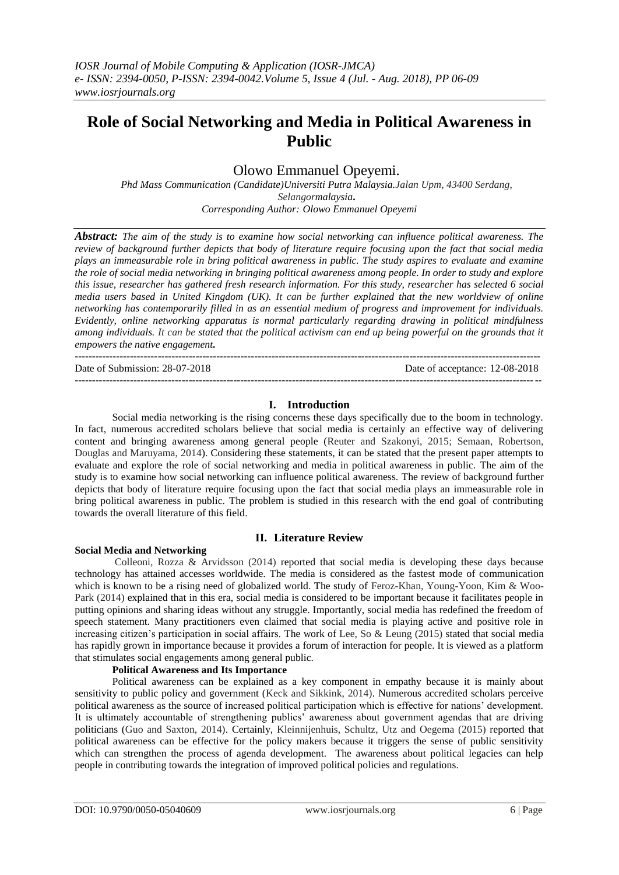# **Role of Social Networking and Media in Political Awareness in Public**

# Olowo Emmanuel Opeyemi.

*Phd Mass Communication (Candidate)Universiti Putra Malaysia.Jalan Upm, 43400 Serdang, Selangormalaysia***.** *Corresponding Author: Olowo Emmanuel Opeyemi*

*Abstract: The aim of the study is to examine how social networking can influence political awareness. The review of background further depicts that body of literature require focusing upon the fact that social media plays an immeasurable role in bring political awareness in public. The study aspires to evaluate and examine the role of social media networking in bringing political awareness among people. In order to study and explore this issue, researcher has gathered fresh research information. For this study, researcher has selected 6 social media users based in United Kingdom (UK). It can be further explained that the new worldview of online networking has contemporarily filled in as an essential medium of progress and improvement for individuals. Evidently, online networking apparatus is normal particularly regarding drawing in political mindfulness*  among individuals. It can be stated that the political activism can end up being powerful on the grounds that it *empowers the native engagement.* 

Date of Submission: 28-07-2018 Date of acceptance: 12-08-2018

# **I. Introduction**

---------------------------------------------------------------------------------------------------------------------------------------

---------------------------------------------------------------------------------------------------------------------------------------

Social media networking is the rising concerns these days specifically due to the boom in technology. In fact, numerous accredited scholars believe that social media is certainly an effective way of delivering content and bringing awareness among general people (Reuter and Szakonyi, 2015; Semaan, Robertson, Douglas and Maruyama, 2014). Considering these statements, it can be stated that the present paper attempts to evaluate and explore the role of social networking and media in political awareness in public. The aim of the study is to examine how social networking can influence political awareness. The review of background further depicts that body of literature require focusing upon the fact that social media plays an immeasurable role in bring political awareness in public. The problem is studied in this research with the end goal of contributing towards the overall literature of this field.

## **Social Media and Networking**

#### **II. Literature Review**

Colleoni, Rozza & Arvidsson (2014) reported that social media is developing these days because technology has attained accesses worldwide. The media is considered as the fastest mode of communication which is known to be a rising need of globalized world. The study of Feroz-Khan, Young-Yoon, Kim & Woo-Park (2014) explained that in this era, social media is considered to be important because it facilitates people in putting opinions and sharing ideas without any struggle. Importantly, social media has redefined the freedom of speech statement. Many practitioners even claimed that social media is playing active and positive role in increasing citizen's participation in social affairs. The work of Lee, So & Leung (2015) stated that social media has rapidly grown in importance because it provides a forum of interaction for people. It is viewed as a platform that stimulates social engagements among general public.

### **Political Awareness and Its Importance**

Political awareness can be explained as a key component in empathy because it is mainly about sensitivity to public policy and government (Keck and Sikkink, 2014). Numerous accredited scholars perceive political awareness as the source of increased political participation which is effective for nations' development. It is ultimately accountable of strengthening publics' awareness about government agendas that are driving politicians (Guo and Saxton, 2014). Certainly, Kleinnijenhuis, Schultz, Utz and Oegema (2015) reported that political awareness can be effective for the policy makers because it triggers the sense of public sensitivity which can strengthen the process of agenda development. The awareness about political legacies can help people in contributing towards the integration of improved political policies and regulations.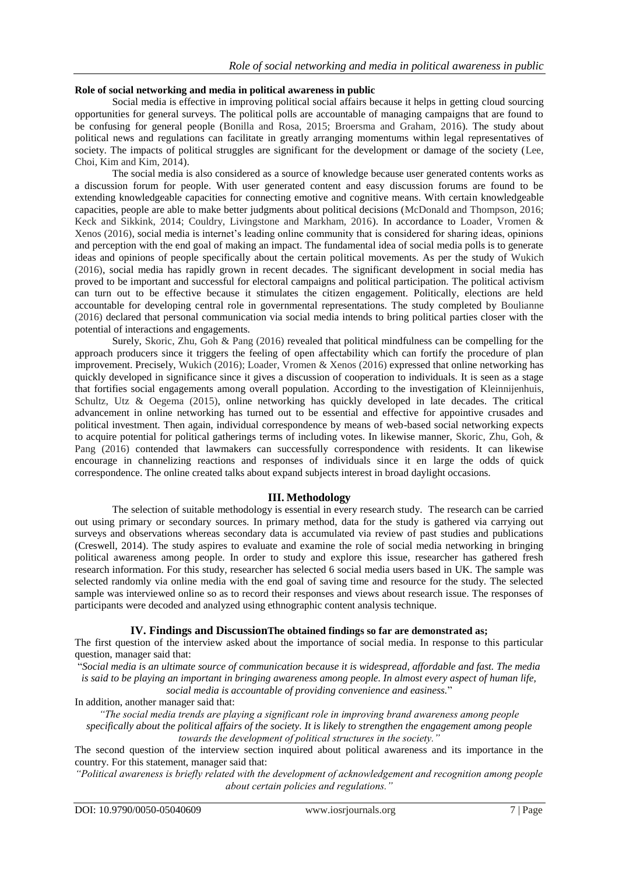## **Role of social networking and media in political awareness in public**

Social media is effective in improving political social affairs because it helps in getting cloud sourcing opportunities for general surveys. The political polls are accountable of managing campaigns that are found to be confusing for general people (Bonilla and Rosa, 2015; Broersma and Graham, 2016). The study about political news and regulations can facilitate in greatly arranging momentums within legal representatives of society. The impacts of political struggles are significant for the development or damage of the society (Lee, Choi, Kim and Kim, 2014).

The social media is also considered as a source of knowledge because user generated contents works as a discussion forum for people. With user generated content and easy discussion forums are found to be extending knowledgeable capacities for connecting emotive and cognitive means. With certain knowledgeable capacities, people are able to make better judgments about political decisions (McDonald and Thompson, 2016; Keck and Sikkink, 2014; Couldry, Livingstone and Markham, 2016). In accordance to Loader, Vromen & Xenos (2016), social media is internet's leading online community that is considered for sharing ideas, opinions and perception with the end goal of making an impact. The fundamental idea of social media polls is to generate ideas and opinions of people specifically about the certain political movements. As per the study of Wukich (2016), social media has rapidly grown in recent decades. The significant development in social media has proved to be important and successful for electoral campaigns and political participation. The political activism can turn out to be effective because it stimulates the citizen engagement. Politically, elections are held accountable for developing central role in governmental representations. The study completed by Boulianne (2016) declared that personal communication via social media intends to bring political parties closer with the potential of interactions and engagements.

Surely, Skoric, Zhu, Goh & Pang (2016) revealed that political mindfulness can be compelling for the approach producers since it triggers the feeling of open affectability which can fortify the procedure of plan improvement. Precisely, Wukich (2016); Loader, Vromen & Xenos (2016) expressed that online networking has quickly developed in significance since it gives a discussion of cooperation to individuals. It is seen as a stage that fortifies social engagements among overall population. According to the investigation of Kleinnijenhuis, Schultz, Utz & Oegema (2015), online networking has quickly developed in late decades. The critical advancement in online networking has turned out to be essential and effective for appointive crusades and political investment. Then again, individual correspondence by means of web-based social networking expects to acquire potential for political gatherings terms of including votes. In likewise manner, Skoric, Zhu, Goh, & Pang (2016) contended that lawmakers can successfully correspondence with residents. It can likewise encourage in channelizing reactions and responses of individuals since it en large the odds of quick correspondence. The online created talks about expand subjects interest in broad daylight occasions.

# **III. Methodology**

The selection of suitable methodology is essential in every research study. The research can be carried out using primary or secondary sources. In primary method, data for the study is gathered via carrying out surveys and observations whereas secondary data is accumulated via review of past studies and publications (Creswell, 2014). The study aspires to evaluate and examine the role of social media networking in bringing political awareness among people. In order to study and explore this issue, researcher has gathered fresh research information. For this study, researcher has selected 6 social media users based in UK. The sample was selected randomly via online media with the end goal of saving time and resource for the study. The selected sample was interviewed online so as to record their responses and views about research issue. The responses of participants were decoded and analyzed using ethnographic content analysis technique.

## **IV. Findings and DiscussionThe obtained findings so far are demonstrated as;**

The first question of the interview asked about the importance of social media. In response to this particular question, manager said that:

"*Social media is an ultimate source of communication because it is widespread, affordable and fast. The media is said to be playing an important in bringing awareness among people. In almost every aspect of human life, social media is accountable of providing convenience and easiness.*"

In addition, another manager said that:

*"The social media trends are playing a significant role in improving brand awareness among people specifically about the political affairs of the society. It is likely to strengthen the engagement among people* 

*towards the development of political structures in the society."*

The second question of the interview section inquired about political awareness and its importance in the country. For this statement, manager said that:

*"Political awareness is briefly related with the development of acknowledgement and recognition among people about certain policies and regulations."*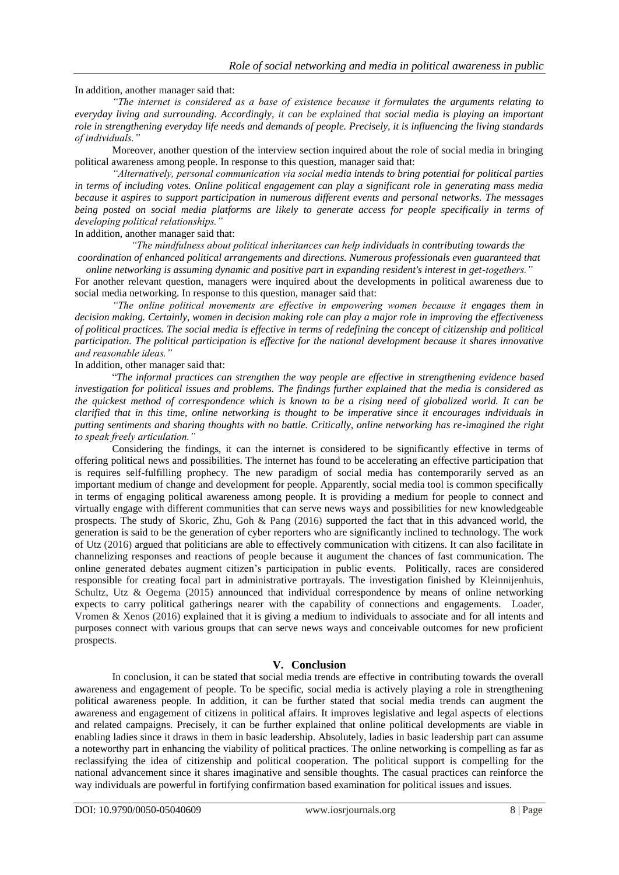In addition, another manager said that:

*"The internet is considered as a base of existence because it formulates the arguments relating to everyday living and surrounding. Accordingly, it can be explained that social media is playing an important role in strengthening everyday life needs and demands of people. Precisely, it is influencing the living standards of individuals."*

Moreover, another question of the interview section inquired about the role of social media in bringing political awareness among people. In response to this question, manager said that:

*"Alternatively, personal communication via social media intends to bring potential for political parties in terms of including votes. Online political engagement can play a significant role in generating mass media because it aspires to support participation in numerous different events and personal networks. The messages being posted on social media platforms are likely to generate access for people specifically in terms of developing political relationships."*

In addition, another manager said that:

*"The mindfulness about political inheritances can help individuals in contributing towards the coordination of enhanced political arrangements and directions. Numerous professionals even guaranteed that* 

*online networking is assuming dynamic and positive part in expanding resident's interest in get-togethers."* For another relevant question, managers were inquired about the developments in political awareness due to social media networking. In response to this question, manager said that:

*"The online political movements are effective in empowering women because it engages them in decision making. Certainly, women in decision making role can play a major role in improving the effectiveness of political practices. The social media is effective in terms of redefining the concept of citizenship and political participation. The political participation is effective for the national development because it shares innovative and reasonable ideas."*

In addition, other manager said that:

"*The informal practices can strengthen the way people are effective in strengthening evidence based investigation for political issues and problems. The findings further explained that the media is considered as the quickest method of correspondence which is known to be a rising need of globalized world. It can be clarified that in this time, online networking is thought to be imperative since it encourages individuals in putting sentiments and sharing thoughts with no battle. Critically, online networking has re-imagined the right to speak freely articulation."*

Considering the findings, it can the internet is considered to be significantly effective in terms of offering political news and possibilities. The internet has found to be accelerating an effective participation that is requires self-fulfilling prophecy. The new paradigm of social media has contemporarily served as an important medium of change and development for people. Apparently, social media tool is common specifically in terms of engaging political awareness among people. It is providing a medium for people to connect and virtually engage with different communities that can serve news ways and possibilities for new knowledgeable prospects. The study of Skoric, Zhu, Goh & Pang (2016) supported the fact that in this advanced world, the generation is said to be the generation of cyber reporters who are significantly inclined to technology. The work of Utz (2016) argued that politicians are able to effectively communication with citizens. It can also facilitate in channelizing responses and reactions of people because it augument the chances of fast communication. The online generated debates augment citizen's participation in public events. Politically, races are considered responsible for creating focal part in administrative portrayals. The investigation finished by Kleinnijenhuis, Schultz, Utz & Oegema (2015) announced that individual correspondence by means of online networking expects to carry political gatherings nearer with the capability of connections and engagements. Loader, Vromen & Xenos (2016) explained that it is giving a medium to individuals to associate and for all intents and purposes connect with various groups that can serve news ways and conceivable outcomes for new proficient prospects.

# **V. Conclusion**

In conclusion, it can be stated that social media trends are effective in contributing towards the overall awareness and engagement of people. To be specific, social media is actively playing a role in strengthening political awareness people. In addition, it can be further stated that social media trends can augment the awareness and engagement of citizens in political affairs. It improves legislative and legal aspects of elections and related campaigns. Precisely, it can be further explained that online political developments are viable in enabling ladies since it draws in them in basic leadership. Absolutely, ladies in basic leadership part can assume a noteworthy part in enhancing the viability of political practices. The online networking is compelling as far as reclassifying the idea of citizenship and political cooperation. The political support is compelling for the national advancement since it shares imaginative and sensible thoughts. The casual practices can reinforce the way individuals are powerful in fortifying confirmation based examination for political issues and issues.